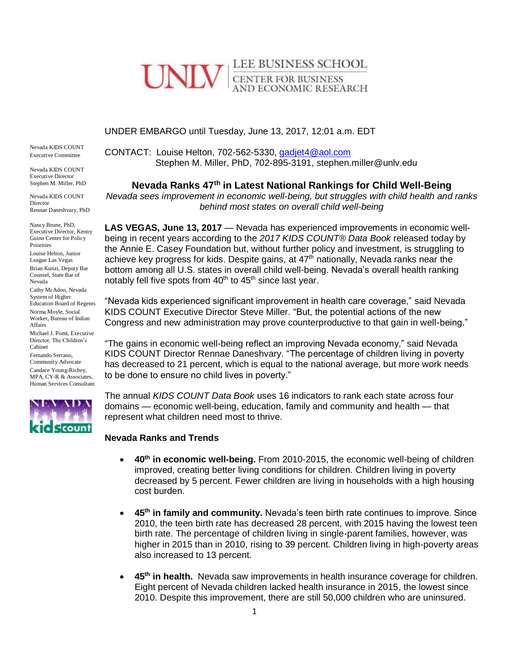# LEE BUSINESS SCHOOL **CENTER FOR BUSINESS** AND ECONOMIC RESEARCH

### UNDER EMBARGO until Tuesday, June 13, 2017, 12:01 a.m. EDT

Nevada KIDS COUNT Executive Committee

Nevada KIDS COUNT Executive Director Stephen M. Miller, PhD

Nevada KIDS COUNT Director Rennae Daneshvary, PhD

Nancy Brune, PhD, Executive Director, Kenny Guinn Center for Policy Priorities

Louise Helton, Junior League Las Vegas Brian Kunzi, Deputy Bar Counsel, State Bar of

Nevada Cathy McAdoo, Nevada

System of Higher Education Board of Regents Norma Moyle, Social Worker, Bureau of Indian Affairs

Michael J. Pomi, Executive Director, The Children's Cabinet

Fernando Serrano, Community Advocate

Candace Young-Richey, MPA, CY-R & Associates, Human Services Consultant



CONTACT: Louise Helton, 702-562-5330, [gadjet4@aol.com](mailto:gadjet4@aol.com) Stephen M. Miller, PhD, 702-895-3191, stephen.miller@unlv.edu

**Nevada Ranks 47th in Latest National Rankings for Child Well-Being**

*Nevada sees improvement in economic well-being, but struggles with child health and ranks behind most states on overall child well-being*

**LAS VEGAS, June 13, 2017** — Nevada has experienced improvements in economic wellbeing in recent years according to the *2017 KIDS COUNT® Data Book* released today by the Annie E. Casey Foundation but, without further policy and investment, is struggling to achieve key progress for kids. Despite gains, at 47<sup>th</sup> nationally, Nevada ranks near the bottom among all U.S. states in overall child well-being. Nevada's overall health ranking notably fell five spots from  $40<sup>th</sup>$  to  $45<sup>th</sup>$  since last year.

"Nevada kids experienced significant improvement in health care coverage," said Nevada KIDS COUNT Executive Director Steve Miller. "But, the potential actions of the new Congress and new administration may prove counterproductive to that gain in well-being."

"The gains in economic well-being reflect an improving Nevada economy," said Nevada KIDS COUNT Director Rennae Daneshvary. "The percentage of children living in poverty has decreased to 21 percent, which is equal to the national average, but more work needs to be done to ensure no child lives in poverty."

The annual *KIDS COUNT Data Book* uses 16 indicators to rank each state across four domains — economic well-being, education, family and community and health — that represent what children need most to thrive.

## **Nevada Ranks and Trends**

- **40th in economic well-being.** From 2010-2015, the economic well-being of children improved, creating better living conditions for children. Children living in poverty decreased by 5 percent. Fewer children are living in households with a high housing cost burden.
- **45th in family and community.** Nevada's teen birth rate continues to improve. Since 2010, the teen birth rate has decreased 28 percent, with 2015 having the lowest teen birth rate. The percentage of children living in single-parent families, however, was higher in 2015 than in 2010, rising to 39 percent. Children living in high-poverty areas also increased to 13 percent.
- **45th in health.** Nevada saw improvements in health insurance coverage for children. Eight percent of Nevada children lacked health insurance in 2015, the lowest since 2010. Despite this improvement, there are still 50,000 children who are uninsured.